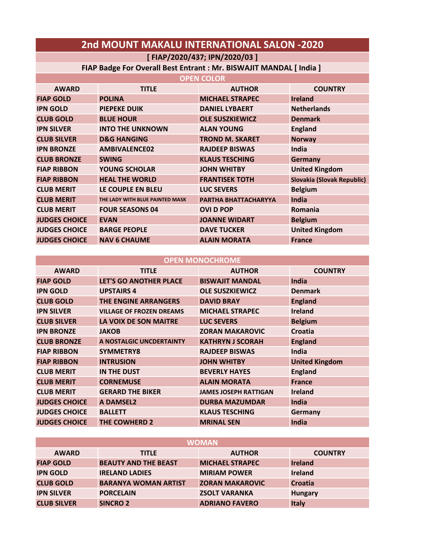| 2nd MOUNT MAKALU INTERNATIONAL SALON -2020                          |                                 |                              |                            |
|---------------------------------------------------------------------|---------------------------------|------------------------------|----------------------------|
|                                                                     |                                 | [FIAP/2020/437; IPN/2020/03] |                            |
| FIAP Badge For Overall Best Entrant : Mr. BISWAJIT MANDAL [ India ] |                                 |                              |                            |
|                                                                     |                                 | <b>OPEN COLOR</b>            |                            |
| <b>AWARD</b>                                                        | <b>TITLE</b>                    | <b>AUTHOR</b>                | <b>COUNTRY</b>             |
| <b>FIAP GOLD</b>                                                    | <b>POLINA</b>                   | <b>MICHAEL STRAPEC</b>       | <b>Ireland</b>             |
| <b>IPN GOLD</b>                                                     | <b>PIEPEKE DUIK</b>             | <b>DANIEL LYBAERT</b>        | <b>Netherlands</b>         |
| <b>CLUB GOLD</b>                                                    | <b>BLUE HOUR</b>                | <b>OLE SUSZKIEWICZ</b>       | <b>Denmark</b>             |
| <b>IPN SILVER</b>                                                   | <b>INTO THE UNKNOWN</b>         | <b>ALAN YOUNG</b>            | <b>England</b>             |
| <b>CLUB SILVER</b>                                                  | <b>D&amp;G HANGING</b>          | <b>TROND M. SKARET</b>       | <b>Norway</b>              |
| <b>IPN BRONZE</b>                                                   | <b>AMBIVALENCE02</b>            | <b>RAJDEEP BISWAS</b>        | India                      |
| <b>CLUB BRONZE</b>                                                  | <b>SWING</b>                    | <b>KLAUS TESCHING</b>        | <b>Germany</b>             |
| <b>FIAP RIBBON</b>                                                  | <b>YOUNG SCHOLAR</b>            | <b>JOHN WHITBY</b>           | <b>United Kingdom</b>      |
| <b>FIAP RIBBON</b>                                                  | <b>HEAL THE WORLD</b>           | <b>FRANTISEK TOTH</b>        | Slovakia (Slovak Republic) |
| <b>CLUB MERIT</b>                                                   | LE COUPLE EN BLEU               | <b>LUC SEVERS</b>            | <b>Belgium</b>             |
| <b>CLUB MERIT</b>                                                   | THE LADY WITH BLUE PAINTED MASK | PARTHA BHATTACHARYYA         | <b>India</b>               |
| <b>CLUB MERIT</b>                                                   | <b>FOUR SEASONS 04</b>          | <b>OVID POP</b>              | <b>Romania</b>             |
| <b>JUDGES CHOICE</b>                                                | <b>EVAN</b>                     | <b>JOANNE WIDART</b>         | <b>Belgium</b>             |
| <b>JUDGES CHOICE</b>                                                | <b>BARGE PEOPLE</b>             | <b>DAVE TUCKER</b>           | <b>United Kingdom</b>      |
| <b>JUDGES CHOICE</b>                                                | <b>NAV 6 CHAUME</b>             | <b>ALAIN MORATA</b>          | <b>France</b>              |

| <b>OPEN MONOCHROME</b> |                                 |                              |                       |
|------------------------|---------------------------------|------------------------------|-----------------------|
| <b>AWARD</b>           | <b>TITLE</b>                    | <b>AUTHOR</b>                | <b>COUNTRY</b>        |
| <b>FIAP GOLD</b>       | <b>LET'S GO ANOTHER PLACE</b>   | <b>BISWAJIT MANDAL</b>       | <b>India</b>          |
| <b>IPN GOLD</b>        | <b>UPSTAIRS 4</b>               | <b>OLE SUSZKIEWICZ</b>       | <b>Denmark</b>        |
| <b>CLUB GOLD</b>       | <b>THE ENGINE ARRANGERS</b>     | <b>DAVID BRAY</b>            | <b>England</b>        |
| <b>IPN SILVER</b>      | <b>VILLAGE OF FROZEN DREAMS</b> | <b>MICHAEL STRAPEC</b>       | <b>Ireland</b>        |
| <b>CLUB SILVER</b>     | LA VOIX DE SON MAITRE           | <b>LUC SEVERS</b>            | <b>Belgium</b>        |
| <b>IPN BRONZE</b>      | <b>JAKOB</b>                    | <b>ZORAN MAKAROVIC</b>       | Croatia               |
| <b>CLUB BRONZE</b>     | A NOSTALGIC UNCDERTAINTY        | <b>KATHRYN J SCORAH</b>      | <b>England</b>        |
| <b>FIAP RIBBON</b>     | SYMMETRY8                       | <b>RAJDEEP BISWAS</b>        | India                 |
| <b>FIAP RIBBON</b>     | <b>INTRUSION</b>                | <b>JOHN WHITBY</b>           | <b>United Kingdom</b> |
| <b>CLUB MERIT</b>      | <b>IN THE DUST</b>              | <b>BEVERLY HAYES</b>         | <b>England</b>        |
| <b>CLUB MERIT</b>      | <b>CORNEMUSE</b>                | <b>ALAIN MORATA</b>          | <b>France</b>         |
| <b>CLUB MERIT</b>      | <b>GERARD THE BIKER</b>         | <b>JAMES JOSEPH RATTIGAN</b> | <b>Ireland</b>        |
| <b>JUDGES CHOICE</b>   | <b>A DAMSEL2</b>                | <b>DURBA MAZUMDAR</b>        | India                 |
| <b>JUDGES CHOICE</b>   | <b>BALLETT</b>                  | <b>KLAUS TESCHING</b>        | Germany               |
| <b>JUDGES CHOICE</b>   | <b>THE COWHERD 2</b>            | <b>MRINAL SEN</b>            | India                 |

| <b>WOMAN</b>       |                             |                        |                |
|--------------------|-----------------------------|------------------------|----------------|
| <b>AWARD</b>       | <b>TITLE</b>                | <b>AUTHOR</b>          | <b>COUNTRY</b> |
| <b>FIAP GOLD</b>   | <b>BEAUTY AND THE BEAST</b> | <b>MICHAEL STRAPEC</b> | <b>Ireland</b> |
| <b>IPN GOLD</b>    | <b>IRELAND LADIES</b>       | <b>MIRIAM POWER</b>    | <b>Ireland</b> |
| <b>CLUB GOLD</b>   | <b>BARANYA WOMAN ARTIST</b> | <b>ZORAN MAKAROVIC</b> | <b>Croatia</b> |
| <b>IPN SILVER</b>  | <b>PORCELAIN</b>            | <b>ZSOLT VARANKA</b>   | <b>Hungary</b> |
| <b>CLUB SILVER</b> | <b>SINCRO 2</b>             | <b>ADRIANO FAVERO</b>  | <b>Italy</b>   |